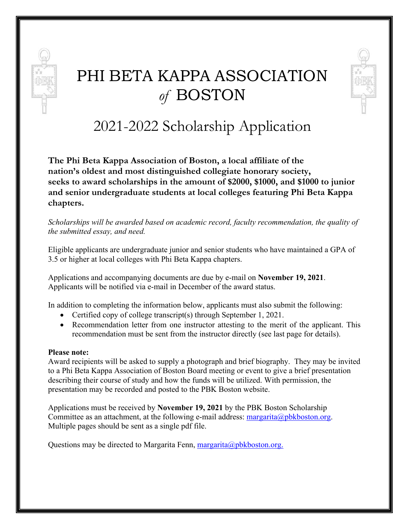

# PHI BETA KAPPA ASSOCIATION *of* BOSTON



2021-2022 Scholarship Application

**The Phi Beta Kappa Association of Boston, a local affiliate of the nation's oldest and most distinguished collegiate honorary society, seeks to award scholarships in the amount of \$2000, \$1000, and \$1000 to junior and senior undergraduate students at local colleges featuring Phi Beta Kappa chapters.**

*Scholarships will be awarded based on academic record, faculty recommendation, the quality of the submitted essay, and need.*

Eligible applicants are undergraduate junior and senior students who have maintained a GPA of 3.5 or higher at local colleges with Phi Beta Kappa chapters.

Applications and accompanying documents are due by e-mail on **November 19, 2021**. Applicants will be notified via e-mail in December of the award status.

In addition to completing the information below, applicants must also submit the following:

- Certified copy of college transcript(s) through September 1, 2021.
- Recommendation letter from one instructor attesting to the merit of the applicant. This recommendation must be sent from the instructor directly (see last page for details).

#### **Please note:**

Award recipients will be asked to supply a photograph and brief biography. They may be invited to a Phi Beta Kappa Association of Boston Board meeting or event to give a brief presentation describing their course of study and how the funds will be utilized. With permission, the presentation may be recorded and posted to the PBK Boston website.

Applications must be received by **November 19, 2021** by the PBK Boston Scholarship Committee as an attachment, at the following e-mail address: [margarita@pbkboston.org.](mailto:margarita@pbkboston.org) Multiple pages should be sent as a single pdf file.

Questions may be directed to Margarita Fenn, [margarita@pbkboston.org.](mailto:margarita@pbkboston.org)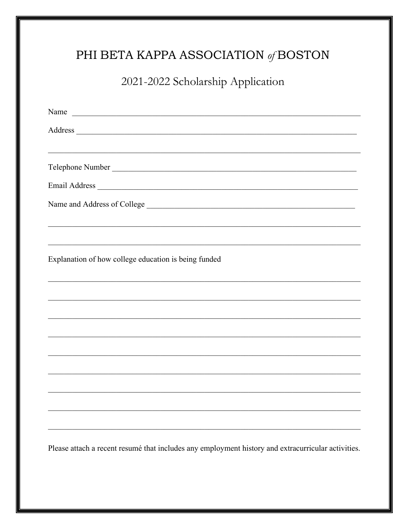## PHI BETA KAPPA ASSOCIATION  $\mathcal{A}\text{BOSTON}$

2021-2022 Scholarship Application

| Name<br><u> 1989 - Johann John Stein, markin fan it fjort fan it fjort fan it fjort fan it fjort fan it fjort fan it fjort fan it fjort fan it fjort fan it fjort fan it fjort fan it fjort fan it fjort fan it fjort fan it fjort fan i</u> |
|----------------------------------------------------------------------------------------------------------------------------------------------------------------------------------------------------------------------------------------------|
|                                                                                                                                                                                                                                              |
|                                                                                                                                                                                                                                              |
| Telephone Number                                                                                                                                                                                                                             |
|                                                                                                                                                                                                                                              |
|                                                                                                                                                                                                                                              |
|                                                                                                                                                                                                                                              |
|                                                                                                                                                                                                                                              |
| Explanation of how college education is being funded                                                                                                                                                                                         |
|                                                                                                                                                                                                                                              |
| ,我们也不能在这里的时候,我们也不能在这里的时候,我们也不能会在这里的时候,我们也不能会在这里的时候,我们也不能会在这里的时候,我们也不能会在这里的时候,我们也不                                                                                                                                                            |
|                                                                                                                                                                                                                                              |
|                                                                                                                                                                                                                                              |
|                                                                                                                                                                                                                                              |
|                                                                                                                                                                                                                                              |
|                                                                                                                                                                                                                                              |
|                                                                                                                                                                                                                                              |
|                                                                                                                                                                                                                                              |
| Please attach a recent resumé that includes any employment history and extracurricular activities.                                                                                                                                           |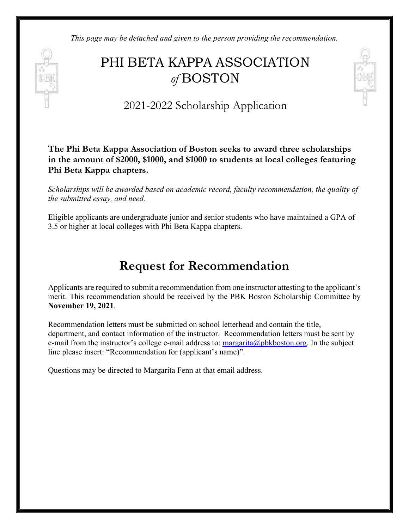*This page may be detached and given to the person providing the recommendation.*

# PHI BETA KAPPA ASSOCIATION *of* BOSTON



2021-2022 Scholarship Application

**The Phi Beta Kappa Association of Boston seeks to award three scholarships in the amount of \$2000, \$1000, and \$1000 to students at local colleges featuring Phi Beta Kappa chapters.**

*Scholarships will be awarded based on academic record, faculty recommendation, the quality of the submitted essay, and need.*

Eligible applicants are undergraduate junior and senior students who have maintained a GPA of 3.5 or higher at local colleges with Phi Beta Kappa chapters.

#### **Request for Recommendation**

Applicants are required to submit a recommendation from one instructor attesting to the applicant's merit. This recommendation should be received by the PBK Boston Scholarship Committee by **November 19, 2021**.

Recommendation letters must be submitted on school letterhead and contain the title, department, and contact information of the instructor. Recommendation letters must be sent by e-mail from the instructor's college e-mail address to:  $\frac{1}{2}$  margarita $\frac{1}{2}$  methor.org. In the subject line please insert: "Recommendation for (applicant's name)".

Questions may be directed to Margarita Fenn at that email address.